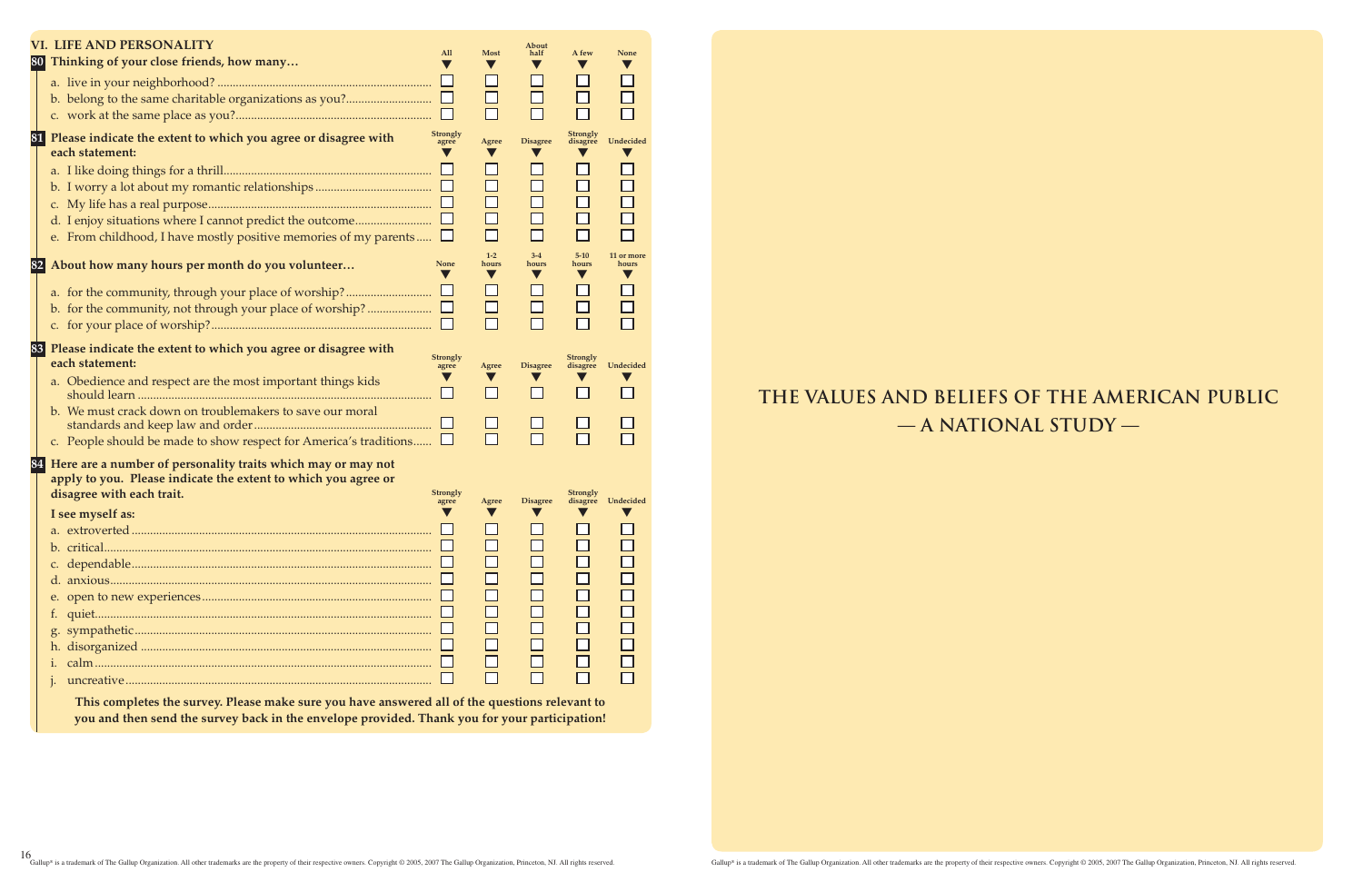|    | <b>VI. LIFE AND PERSONALITY</b>                                          | All                      | <b>Most</b>                            | About<br>half                            | A few                                     | None                                        |
|----|--------------------------------------------------------------------------|--------------------------|----------------------------------------|------------------------------------------|-------------------------------------------|---------------------------------------------|
|    | 80 Thinking of your close friends, how many                              |                          | $\blacktriangledown$                   |                                          |                                           |                                             |
|    |                                                                          |                          | $\Box$                                 | $\Box$                                   | $\Box$                                    |                                             |
|    |                                                                          |                          | $\Box$                                 | $\Box$                                   |                                           |                                             |
|    |                                                                          |                          |                                        |                                          |                                           |                                             |
| 81 | Please indicate the extent to which you agree or disagree with           | <b>Strongly</b><br>agree | Agree                                  | <b>Disagree</b>                          | <b>Strongly</b><br>disagree               | Undecided                                   |
|    | each statement:                                                          |                          |                                        |                                          |                                           |                                             |
|    |                                                                          | ப                        | $\Box$                                 |                                          |                                           |                                             |
|    |                                                                          |                          | $\Box$                                 | $\Box$                                   | $\Box$                                    |                                             |
|    |                                                                          |                          | $\Box$                                 | $\Box$                                   | $\Box$                                    |                                             |
|    |                                                                          |                          | $\Box$<br>П                            | $\Box$<br>П                              | $\Box$                                    |                                             |
|    | e. From childhood, I have mostly positive memories of my parents $\Box$  |                          |                                        |                                          |                                           |                                             |
| 82 | About how many hours per month do you volunteer                          | <b>None</b>              | $1-2$<br>hours<br>$\blacktriangledown$ | $3 - 4$<br>hours<br>$\blacktriangledown$ | $5 - 10$<br>hours<br>$\blacktriangledown$ | 11 or more<br>hours<br>$\blacktriangledown$ |
|    | a. for the community, through your place of worship?                     |                          | $\Box$                                 | $\Box$                                   | $\Box$                                    |                                             |
|    |                                                                          |                          | $\Box$                                 | $\Box$                                   |                                           |                                             |
|    |                                                                          |                          | П                                      |                                          |                                           |                                             |
|    | 83 Please indicate the extent to which you agree or disagree with        |                          |                                        |                                          |                                           |                                             |
|    | each statement:                                                          | <b>Strongly</b><br>agree | Agree                                  | <b>Disagree</b>                          | <b>Strongly</b><br>disagree               | Undecided                                   |
|    | a. Obedience and respect are the most important things kids              |                          |                                        |                                          |                                           |                                             |
|    |                                                                          |                          |                                        | $\Box$                                   |                                           |                                             |
|    | b. We must crack down on troublemakers to save our moral                 |                          |                                        |                                          |                                           |                                             |
|    |                                                                          |                          | П                                      |                                          |                                           |                                             |
|    | c. People should be made to show respect for America's traditions $\Box$ |                          |                                        |                                          |                                           |                                             |
| 84 | Here are a number of personality traits which may or may not             |                          |                                        |                                          |                                           |                                             |
|    | apply to you. Please indicate the extent to which you agree or           |                          |                                        |                                          |                                           |                                             |
|    | disagree with each trait.                                                | <b>Strongly</b><br>agree | Agree                                  | <b>Disagree</b>                          | <b>Strongly</b><br>disagree               | Undecided                                   |
|    | I see myself as:                                                         |                          |                                        |                                          |                                           |                                             |
|    |                                                                          |                          |                                        |                                          |                                           |                                             |
|    |                                                                          |                          |                                        |                                          |                                           |                                             |
|    |                                                                          |                          |                                        |                                          |                                           |                                             |
|    |                                                                          |                          |                                        |                                          |                                           |                                             |
|    |                                                                          |                          |                                        |                                          |                                           |                                             |
|    |                                                                          |                          |                                        |                                          |                                           |                                             |
|    |                                                                          |                          |                                        |                                          |                                           |                                             |
|    |                                                                          |                          |                                        |                                          |                                           |                                             |
|    |                                                                          |                          |                                        |                                          |                                           |                                             |
|    |                                                                          |                          |                                        |                                          |                                           |                                             |
|    |                                                                          |                          |                                        |                                          |                                           |                                             |

**This completes the survey. Please make sure you have answered all of the questions relevant to you and then send the survey back in the envelope provided. Thank you for your participation!**

**THE VALUES AND BELIEFS OF THE AMERICAN PUBLIC — A NATIONAL STUDY —**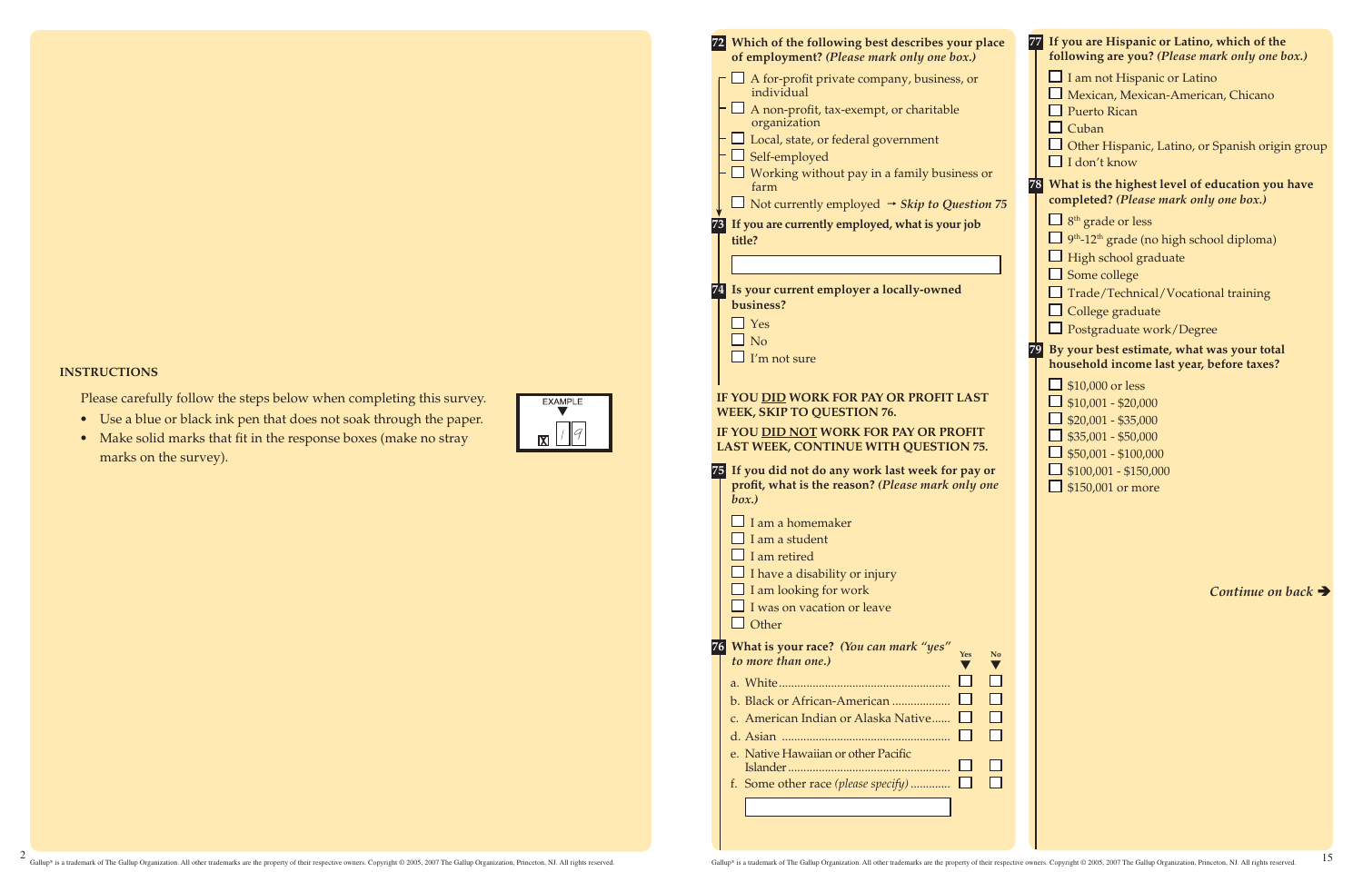### **Instructions**

 Please carefully follow the steps below when completing this survey.

- • Use a blue or black ink pen that does not soak through the paper.
- Make solid marks that fit in the response boxes (make no stray marks on the survey).



| 72 Which of the following best describes your place<br>of employment? (Please mark only one box.)<br>A for-profit private company, business, or<br>individual<br>A non-profit, tax-exempt, or charitable<br>organization<br>$\Box$ Local, state, or federal government<br>Self-employed<br>$\Box$ Working without pay in a family business or<br>farm<br>Not currently employed $\rightarrow$ Skip to Question 75<br>73 If you are currently employed, what is your job | 77 If you are Hispanic or Latino, which of the<br>following are you? (Please mark only one box.)<br>$\Box$ I am not Hispanic or Latino<br>Mexican, Mexican-American, Chicano<br>$\Box$ Puerto Rican<br>$\Box$ Cuban<br>$\Box$ Other Hispanic, Latino, or Spanish origin group<br>$\Box$ I don't know<br>What is the highest level of education you have<br>78<br>completed? (Please mark only one box.)<br>$\Box$ 8 <sup>th</sup> grade or less |
|-------------------------------------------------------------------------------------------------------------------------------------------------------------------------------------------------------------------------------------------------------------------------------------------------------------------------------------------------------------------------------------------------------------------------------------------------------------------------|-------------------------------------------------------------------------------------------------------------------------------------------------------------------------------------------------------------------------------------------------------------------------------------------------------------------------------------------------------------------------------------------------------------------------------------------------|
| title?<br>74 Is your current employer a locally-owned<br>business?<br>$\Box$ Yes<br>$\Box$ No<br>$\Box$ I'm not sure<br>IF YOU DID WORK FOR PAY OR PROFIT LAST<br><b>WEEK, SKIP TO QUESTION 76.</b><br>IF YOU DID NOT WORK FOR PAY OR PROFIT                                                                                                                                                                                                                            | 9 <sup>th</sup> -12 <sup>th</sup> grade (no high school diploma)<br>$\Box$ High school graduate<br>$\Box$ Some college<br>$\Box$ Trade/Technical/Vocational training<br>$\Box$ College graduate<br>$\Box$ Postgraduate work/Degree<br>By your best estimate, what was your total<br>79 <br>household income last year, before taxes?<br>$\Box$ \$10,000 or less<br>$$10,001 - $20,000$<br>$$20,001 - $35,000$<br>$\Box$ \$35,001 - \$50,000     |
| LAST WEEK, CONTINUE WITH QUESTION 75.<br>75 If you did not do any work last week for pay or<br>profit, what is the reason? (Please mark only one<br>box.)<br>$\Box$ I am a homemaker<br>$\Box$ I am a student<br>$\Box$ I am retired<br>$\Box$ I have a disability or injury<br>$\Box$ I am looking for work<br>$\Box$ I was on vacation or leave<br>$\Box$ Other                                                                                                       | $$50,001 - $100,000$<br>$$100,001 - $150,000$<br>$\Box$ \$150,001 or more<br>Continue on back $\rightarrow$                                                                                                                                                                                                                                                                                                                                     |
| 76 What is your race? (You can mark "yes"<br>N <sub>o</sub><br>to more than one.)<br>b. Black or African-American<br>c. American Indian or Alaska Native<br>e. Native Hawaiian or other Pacific<br>П<br>f. Some other race (please specify) $\Box$                                                                                                                                                                                                                      |                                                                                                                                                                                                                                                                                                                                                                                                                                                 |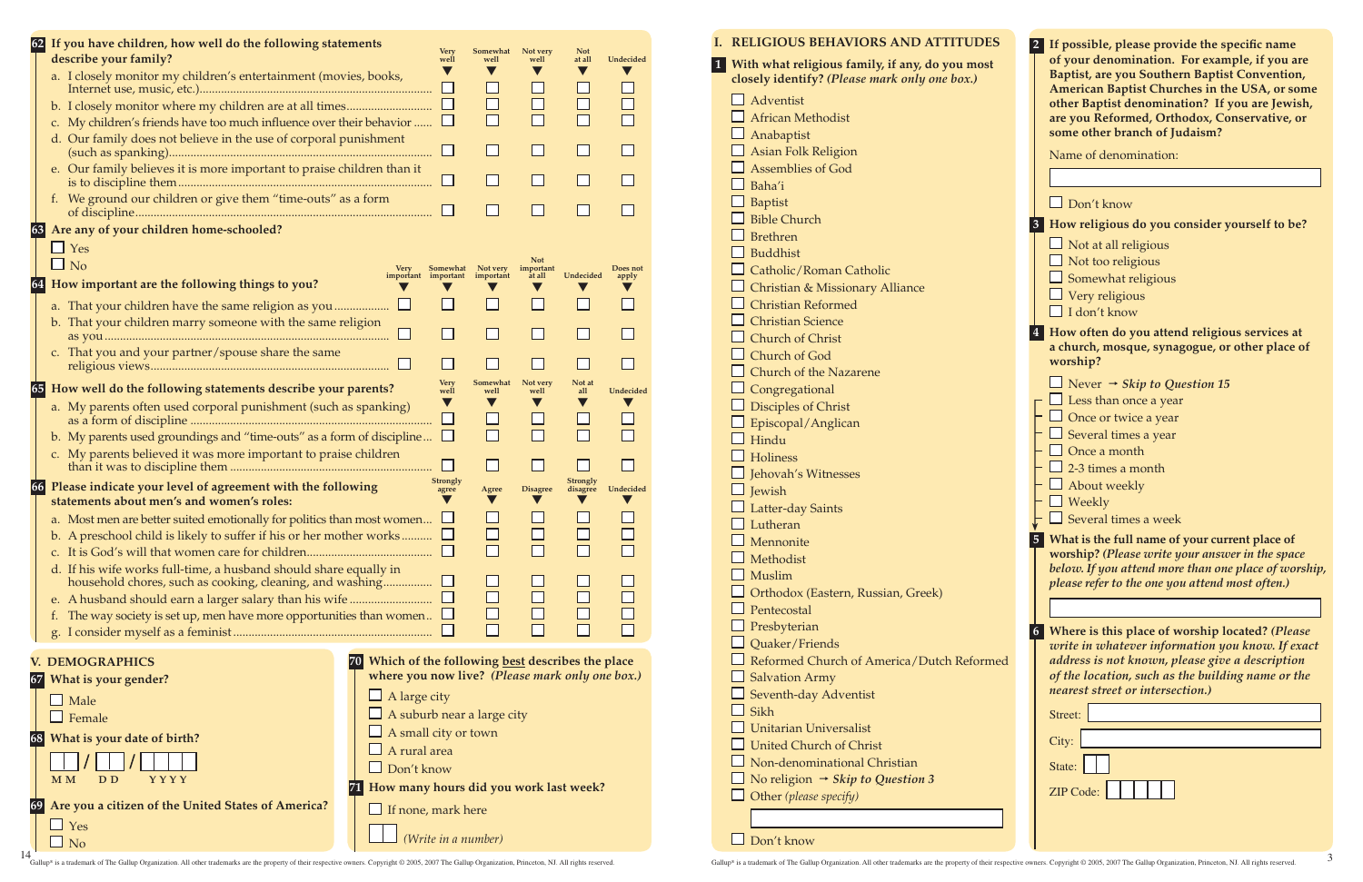**I. Religious Behaviors and Attitudes**

Don't know

14<br>Gallup® is a trademark of The Gallup Organization. All other trademarks are the property of their respective owners. Copyright © 2005, 2007 The Gallup Organization, Princeton, NJ. All rights reserved.

| $\Box$ Adventist<br>$\Box$ African Methodist<br>Anabaptist<br>Asian Folk Religion<br>Assemblies of God<br>$\Box$ Baha'i<br>Baptist<br>Bible Church<br>$\Box$ Brethren<br>Buddhist<br>$\Box$ Catholic/Roman Catholic<br>Christian & Missionary Alliance<br>$\Box$ Christian Reformed<br>$\Box$ Christian Science<br>$\Box$ Church of Christ<br>$\Box$ Church of God<br>Church of the Nazarene<br>$\Box$ Congregational<br>Disciples of Christ<br>Episcopal/Anglican<br>$\Box$ Hindu<br>$\Box$ Holiness<br>J Jehovah's Witnesses<br>$\Box$ Jewish<br>Latter-day Saints<br>$\Box$ Lutheran<br>$\Box$ Mennonite<br>Methodist<br>Muslim<br>Orthodox (Eastern, Russian, Greek)<br>$\Box$ Pentecostal<br>Presbyterian<br>$\Box$ Quaker/Friends<br>Reformed Church of America/Dutch Reformed<br>Salvation Army<br>Seventh-day Adventist<br>⊿ Sikh<br>Unitarian Universalist<br>United Church of Christ<br>Non-denominational Christian<br>$\Box$ No religion → Skip to Question 3<br>$\Box$ Other (please specify) |  | 1 With what religious family, if any, do you most<br>closely identify? (Please mark only one box.) |
|------------------------------------------------------------------------------------------------------------------------------------------------------------------------------------------------------------------------------------------------------------------------------------------------------------------------------------------------------------------------------------------------------------------------------------------------------------------------------------------------------------------------------------------------------------------------------------------------------------------------------------------------------------------------------------------------------------------------------------------------------------------------------------------------------------------------------------------------------------------------------------------------------------------------------------------------------------------------------------------------------------|--|----------------------------------------------------------------------------------------------------|
|                                                                                                                                                                                                                                                                                                                                                                                                                                                                                                                                                                                                                                                                                                                                                                                                                                                                                                                                                                                                            |  |                                                                                                    |
|                                                                                                                                                                                                                                                                                                                                                                                                                                                                                                                                                                                                                                                                                                                                                                                                                                                                                                                                                                                                            |  |                                                                                                    |
|                                                                                                                                                                                                                                                                                                                                                                                                                                                                                                                                                                                                                                                                                                                                                                                                                                                                                                                                                                                                            |  |                                                                                                    |
|                                                                                                                                                                                                                                                                                                                                                                                                                                                                                                                                                                                                                                                                                                                                                                                                                                                                                                                                                                                                            |  |                                                                                                    |
|                                                                                                                                                                                                                                                                                                                                                                                                                                                                                                                                                                                                                                                                                                                                                                                                                                                                                                                                                                                                            |  |                                                                                                    |
|                                                                                                                                                                                                                                                                                                                                                                                                                                                                                                                                                                                                                                                                                                                                                                                                                                                                                                                                                                                                            |  |                                                                                                    |
|                                                                                                                                                                                                                                                                                                                                                                                                                                                                                                                                                                                                                                                                                                                                                                                                                                                                                                                                                                                                            |  |                                                                                                    |
|                                                                                                                                                                                                                                                                                                                                                                                                                                                                                                                                                                                                                                                                                                                                                                                                                                                                                                                                                                                                            |  |                                                                                                    |
|                                                                                                                                                                                                                                                                                                                                                                                                                                                                                                                                                                                                                                                                                                                                                                                                                                                                                                                                                                                                            |  |                                                                                                    |
|                                                                                                                                                                                                                                                                                                                                                                                                                                                                                                                                                                                                                                                                                                                                                                                                                                                                                                                                                                                                            |  |                                                                                                    |
|                                                                                                                                                                                                                                                                                                                                                                                                                                                                                                                                                                                                                                                                                                                                                                                                                                                                                                                                                                                                            |  |                                                                                                    |
|                                                                                                                                                                                                                                                                                                                                                                                                                                                                                                                                                                                                                                                                                                                                                                                                                                                                                                                                                                                                            |  |                                                                                                    |
|                                                                                                                                                                                                                                                                                                                                                                                                                                                                                                                                                                                                                                                                                                                                                                                                                                                                                                                                                                                                            |  |                                                                                                    |
|                                                                                                                                                                                                                                                                                                                                                                                                                                                                                                                                                                                                                                                                                                                                                                                                                                                                                                                                                                                                            |  |                                                                                                    |
|                                                                                                                                                                                                                                                                                                                                                                                                                                                                                                                                                                                                                                                                                                                                                                                                                                                                                                                                                                                                            |  |                                                                                                    |
|                                                                                                                                                                                                                                                                                                                                                                                                                                                                                                                                                                                                                                                                                                                                                                                                                                                                                                                                                                                                            |  |                                                                                                    |
|                                                                                                                                                                                                                                                                                                                                                                                                                                                                                                                                                                                                                                                                                                                                                                                                                                                                                                                                                                                                            |  |                                                                                                    |
|                                                                                                                                                                                                                                                                                                                                                                                                                                                                                                                                                                                                                                                                                                                                                                                                                                                                                                                                                                                                            |  |                                                                                                    |
|                                                                                                                                                                                                                                                                                                                                                                                                                                                                                                                                                                                                                                                                                                                                                                                                                                                                                                                                                                                                            |  |                                                                                                    |
|                                                                                                                                                                                                                                                                                                                                                                                                                                                                                                                                                                                                                                                                                                                                                                                                                                                                                                                                                                                                            |  |                                                                                                    |
|                                                                                                                                                                                                                                                                                                                                                                                                                                                                                                                                                                                                                                                                                                                                                                                                                                                                                                                                                                                                            |  |                                                                                                    |
|                                                                                                                                                                                                                                                                                                                                                                                                                                                                                                                                                                                                                                                                                                                                                                                                                                                                                                                                                                                                            |  |                                                                                                    |
|                                                                                                                                                                                                                                                                                                                                                                                                                                                                                                                                                                                                                                                                                                                                                                                                                                                                                                                                                                                                            |  |                                                                                                    |
|                                                                                                                                                                                                                                                                                                                                                                                                                                                                                                                                                                                                                                                                                                                                                                                                                                                                                                                                                                                                            |  |                                                                                                    |
|                                                                                                                                                                                                                                                                                                                                                                                                                                                                                                                                                                                                                                                                                                                                                                                                                                                                                                                                                                                                            |  |                                                                                                    |
|                                                                                                                                                                                                                                                                                                                                                                                                                                                                                                                                                                                                                                                                                                                                                                                                                                                                                                                                                                                                            |  |                                                                                                    |
|                                                                                                                                                                                                                                                                                                                                                                                                                                                                                                                                                                                                                                                                                                                                                                                                                                                                                                                                                                                                            |  |                                                                                                    |
|                                                                                                                                                                                                                                                                                                                                                                                                                                                                                                                                                                                                                                                                                                                                                                                                                                                                                                                                                                                                            |  |                                                                                                    |
|                                                                                                                                                                                                                                                                                                                                                                                                                                                                                                                                                                                                                                                                                                                                                                                                                                                                                                                                                                                                            |  |                                                                                                    |
|                                                                                                                                                                                                                                                                                                                                                                                                                                                                                                                                                                                                                                                                                                                                                                                                                                                                                                                                                                                                            |  |                                                                                                    |
|                                                                                                                                                                                                                                                                                                                                                                                                                                                                                                                                                                                                                                                                                                                                                                                                                                                                                                                                                                                                            |  |                                                                                                    |
|                                                                                                                                                                                                                                                                                                                                                                                                                                                                                                                                                                                                                                                                                                                                                                                                                                                                                                                                                                                                            |  |                                                                                                    |
|                                                                                                                                                                                                                                                                                                                                                                                                                                                                                                                                                                                                                                                                                                                                                                                                                                                                                                                                                                                                            |  |                                                                                                    |
|                                                                                                                                                                                                                                                                                                                                                                                                                                                                                                                                                                                                                                                                                                                                                                                                                                                                                                                                                                                                            |  |                                                                                                    |
|                                                                                                                                                                                                                                                                                                                                                                                                                                                                                                                                                                                                                                                                                                                                                                                                                                                                                                                                                                                                            |  |                                                                                                    |
|                                                                                                                                                                                                                                                                                                                                                                                                                                                                                                                                                                                                                                                                                                                                                                                                                                                                                                                                                                                                            |  |                                                                                                    |
|                                                                                                                                                                                                                                                                                                                                                                                                                                                                                                                                                                                                                                                                                                                                                                                                                                                                                                                                                                                                            |  |                                                                                                    |
|                                                                                                                                                                                                                                                                                                                                                                                                                                                                                                                                                                                                                                                                                                                                                                                                                                                                                                                                                                                                            |  |                                                                                                    |
|                                                                                                                                                                                                                                                                                                                                                                                                                                                                                                                                                                                                                                                                                                                                                                                                                                                                                                                                                                                                            |  |                                                                                                    |
|                                                                                                                                                                                                                                                                                                                                                                                                                                                                                                                                                                                                                                                                                                                                                                                                                                                                                                                                                                                                            |  |                                                                                                    |
|                                                                                                                                                                                                                                                                                                                                                                                                                                                                                                                                                                                                                                                                                                                                                                                                                                                                                                                                                                                                            |  |                                                                                                    |
|                                                                                                                                                                                                                                                                                                                                                                                                                                                                                                                                                                                                                                                                                                                                                                                                                                                                                                                                                                                                            |  |                                                                                                    |

| If possible, please provide the specific name<br>of your denomination. For example, if you are<br>Baptist, are you Southern Baptist Convention,<br>American Baptist Churches in the USA, or some<br>other Baptist denomination? If you are Jewish,<br>are you Reformed, Orthodox, Conservative, or<br>some other branch of Judaism? |
|-------------------------------------------------------------------------------------------------------------------------------------------------------------------------------------------------------------------------------------------------------------------------------------------------------------------------------------|
| Name of denomination:                                                                                                                                                                                                                                                                                                               |
|                                                                                                                                                                                                                                                                                                                                     |
| $\Box$ Don't know                                                                                                                                                                                                                                                                                                                   |
|                                                                                                                                                                                                                                                                                                                                     |
| 3 How religious do you consider yourself to be?                                                                                                                                                                                                                                                                                     |
| $\Box$ Not at all religious                                                                                                                                                                                                                                                                                                         |
| Not too religious                                                                                                                                                                                                                                                                                                                   |
| Somewhat religious                                                                                                                                                                                                                                                                                                                  |
| Very religious<br>$\Box$ I don't know                                                                                                                                                                                                                                                                                               |
|                                                                                                                                                                                                                                                                                                                                     |
| $\overline{\mathbf{4}}$<br>How often do you attend religious services at<br>a church, mosque, synagogue, or other place of<br>worship?                                                                                                                                                                                              |
| $\Box$ Never $\rightarrow$ Skip to Question 15                                                                                                                                                                                                                                                                                      |
| $\Box$ Less than once a year                                                                                                                                                                                                                                                                                                        |
| $\Box$ Once or twice a year                                                                                                                                                                                                                                                                                                         |
| $\Box$ Several times a year                                                                                                                                                                                                                                                                                                         |
| $\Box$ Once a month                                                                                                                                                                                                                                                                                                                 |
| $\frac{1}{2}$ -3 times a month                                                                                                                                                                                                                                                                                                      |
| About weekly                                                                                                                                                                                                                                                                                                                        |
| Weekly                                                                                                                                                                                                                                                                                                                              |
| Several times a week                                                                                                                                                                                                                                                                                                                |
| What is the full name of your current place of<br>5<br>worship? (Please write your answer in the space<br>below. If you attend more than one place of worship,<br>please refer to the one you attend most often.)                                                                                                                   |
|                                                                                                                                                                                                                                                                                                                                     |
| Where is this place of worship located? (Please<br>6 <sup>1</sup><br>write in whatever information you know. If exact<br>address is not known, please give a description<br>of the location, such as the building name or the<br>nearest street or intersection.)                                                                   |
| Street:                                                                                                                                                                                                                                                                                                                             |
| City:                                                                                                                                                                                                                                                                                                                               |
|                                                                                                                                                                                                                                                                                                                                     |
| State:                                                                                                                                                                                                                                                                                                                              |
| <b>ZIP Code:</b>                                                                                                                                                                                                                                                                                                                    |
|                                                                                                                                                                                                                                                                                                                                     |

| 62 |    | If you have children, how well do the following statements<br>describe your family?                                         |                                                    | <b>Very</b><br>well            | Somewhat<br>well      | Not very<br>well                  | <b>Not</b><br>at all        | Undecided         |
|----|----|-----------------------------------------------------------------------------------------------------------------------------|----------------------------------------------------|--------------------------------|-----------------------|-----------------------------------|-----------------------------|-------------------|
|    |    | a. I closely monitor my children's entertainment (movies, books,                                                            |                                                    |                                |                       |                                   | V                           |                   |
|    |    |                                                                                                                             |                                                    | ⊔                              |                       |                                   | $\Box$                      |                   |
|    |    | c. My children's friends have too much influence over their behavior                                                        |                                                    |                                |                       |                                   |                             |                   |
|    |    | d. Our family does not believe in the use of corporal punishment                                                            |                                                    |                                | $\mathsf{L}$          |                                   |                             |                   |
|    |    | e. Our family believes it is more important to praise children than it                                                      |                                                    |                                |                       |                                   |                             |                   |
|    |    |                                                                                                                             |                                                    |                                | H                     | $\Box$                            |                             |                   |
|    |    | f. We ground our children or give them "time-outs" as a form                                                                |                                                    |                                |                       |                                   |                             |                   |
|    | 63 | Are any of your children home-schooled?                                                                                     |                                                    |                                |                       |                                   |                             |                   |
|    |    | $\Box$ Yes                                                                                                                  |                                                    |                                |                       |                                   |                             |                   |
|    |    | $\Box$ No                                                                                                                   | <b>Very</b><br>important important                 | Somewhat                       | Not very<br>important | <b>Not</b><br>important<br>at all | Undecided                   | Does not<br>apply |
| 64 |    | How important are the following things to you?                                                                              |                                                    |                                |                       |                                   |                             |                   |
|    |    | a. That your children have the same religion as you                                                                         |                                                    |                                |                       |                                   |                             |                   |
|    |    | b. That your children marry someone with the same religion                                                                  |                                                    |                                |                       |                                   |                             |                   |
|    |    | c. That you and your partner/spouse share the same                                                                          |                                                    |                                |                       |                                   |                             |                   |
|    | 65 | How well do the following statements describe your parents?                                                                 |                                                    | <b>Very</b><br>well            | Somewhat<br>well      | Not very<br>well                  | Not at<br>all               | Undecided         |
|    |    | a. My parents often used corporal punishment (such as spanking)                                                             |                                                    | $\blacktriangledown$<br>$\Box$ |                       |                                   |                             |                   |
|    |    | b. My parents used groundings and "time-outs" as a form of discipline                                                       |                                                    | ⊔                              |                       |                                   |                             |                   |
|    |    | c. My parents believed it was more important to praise children                                                             |                                                    |                                |                       |                                   |                             |                   |
|    | 66 | Please indicate your level of agreement with the following                                                                  |                                                    | <b>Strongly</b><br>agree       | Agree                 | <b>Disagree</b>                   | <b>Strongly</b><br>disagree | Undecided         |
|    |    | statements about men's and women's roles:                                                                                   |                                                    |                                |                       |                                   |                             |                   |
|    |    | a. Most men are better suited emotionally for politics than most women $\Box$                                               |                                                    |                                |                       |                                   |                             |                   |
|    |    | b. A preschool child is likely to suffer if his or her mother works                                                         |                                                    |                                |                       |                                   |                             |                   |
|    |    | d. If his wife works full-time, a husband should share equally in                                                           |                                                    |                                |                       |                                   |                             |                   |
|    |    | household chores, such as cooking, cleaning, and washing                                                                    |                                                    |                                |                       |                                   |                             |                   |
|    |    | e. A husband should earn a larger salary than his wife<br>The way society is set up, men have more opportunities than women |                                                    |                                |                       |                                   |                             |                   |
|    |    | t.                                                                                                                          |                                                    |                                |                       |                                   |                             |                   |
|    |    | <b>V. DEMOGRAPHICS</b>                                                                                                      | 70 Which of the following best describes the place |                                |                       |                                   |                             |                   |
| 67 |    | What is your gender?                                                                                                        | where you now live? (Please mark only one box.)    |                                |                       |                                   |                             |                   |
|    |    | $\Box$ Male                                                                                                                 | $\Box$ A large city                                |                                |                       |                                   |                             |                   |
|    |    | Female                                                                                                                      | $\Box$ A suburb near a large city                  |                                |                       |                                   |                             |                   |
| 68 |    | What is your date of birth?                                                                                                 | $\Box$ A small city or town                        |                                |                       |                                   |                             |                   |
|    |    |                                                                                                                             | A rural area                                       |                                |                       |                                   |                             |                   |
|    |    | <b>YYYY</b><br>M M<br>D D                                                                                                   | $\Box$ Don't know                                  |                                |                       |                                   |                             |                   |
|    |    |                                                                                                                             | 71 How many hours did you work last week?          |                                |                       |                                   |                             |                   |
| 69 |    | Are you a citizen of the United States of America?                                                                          | $\Box$ If none, mark here                          |                                |                       |                                   |                             |                   |
|    |    | $\Box$ Yes<br>N <sub>o</sub>                                                                                                |                                                    |                                | (Write in a number)   |                                   |                             |                   |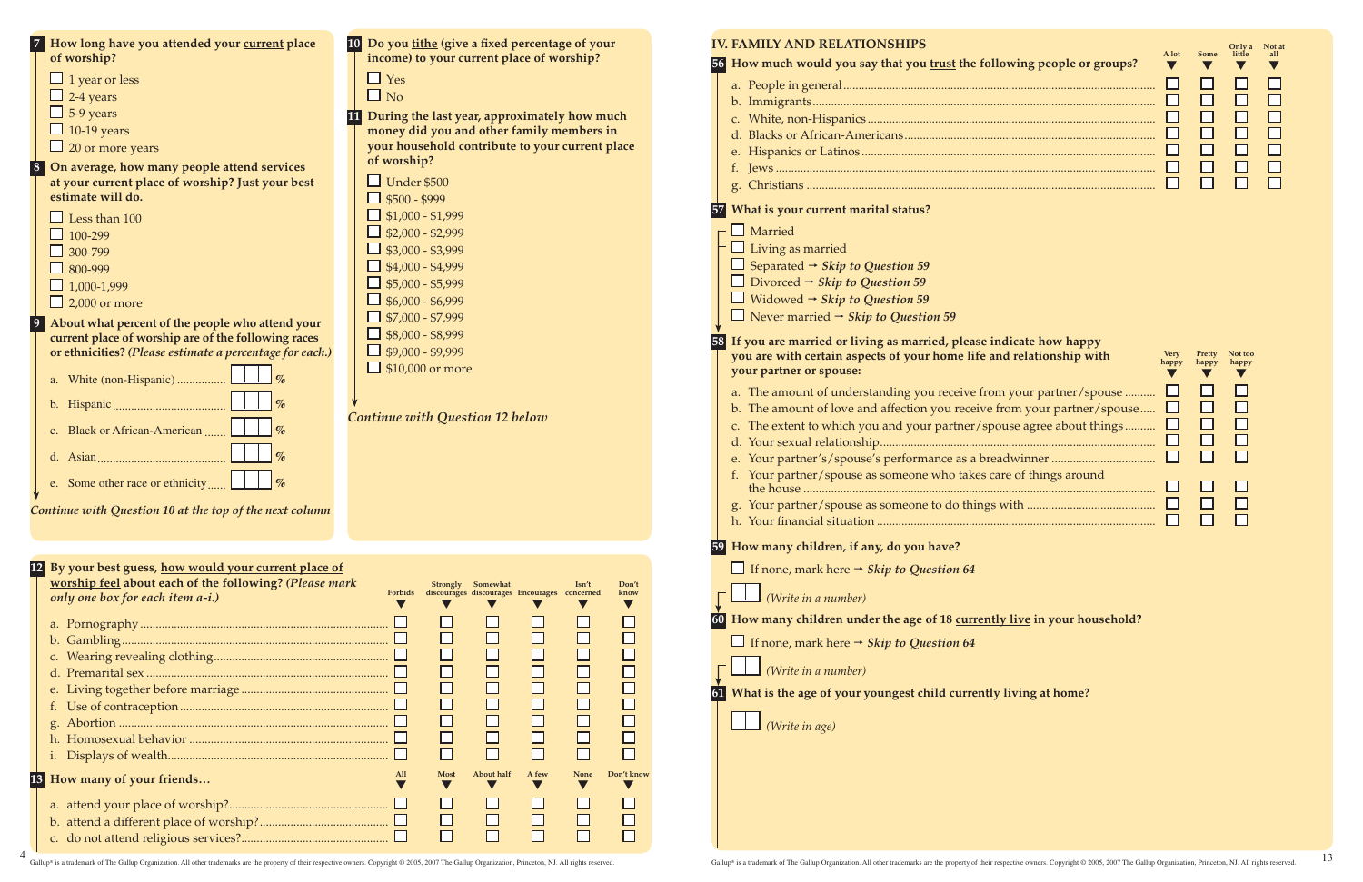**Don't know**  $\blacktriangledown$ 

 $\Box$ 

 $\Box$ 

 $\Box$ 

 $\Box$ 

 $\Box$  $\Box$ 

 $\Box$ 

 $\Box$ 

 $\Box$ 

| of worship?                                                           | income) to your current place of worship?<br>$\Box$ Yes                                      |
|-----------------------------------------------------------------------|----------------------------------------------------------------------------------------------|
| $\Box$ 1 year or less<br>2-4 years                                    | $\Box$ No                                                                                    |
| 5-9 years                                                             |                                                                                              |
| 10-19 years                                                           | 11 During the last year, approximately how much<br>money did you and other family members in |
| $\Box$ 20 or more years                                               | your household contribute to your current place                                              |
|                                                                       | of worship?                                                                                  |
| On average, how many people attend services                           | $\Box$ Under \$500                                                                           |
| at your current place of worship? Just your best<br>estimate will do. | $\Box$ \$500 - \$999                                                                         |
|                                                                       | $\Box$ \$1,000 - \$1,999                                                                     |
| Less than 100                                                         | $\Box$ \$2,000 - \$2,999                                                                     |
| 100-299                                                               | $\Box$ \$3,000 - \$3,999                                                                     |
| 300-799                                                               | $\Box$ \$4,000 - \$4,999                                                                     |
| 800-999                                                               | $\Box$ \$5,000 - \$5,999                                                                     |
| $\Box$ 1,000-1,999                                                    | $\Box$ \$6,000 - \$6,999                                                                     |
| $\Box$ 2,000 or more                                                  |                                                                                              |
| About what percent of the people who attend your                      | $\Box$ \$7,000 - \$7,999                                                                     |
| current place of worship are of the following races                   | $\Box$ \$8,000 - \$8,999                                                                     |
| or ethnicities? (Please estimate a percentage for each.)              | $\Box$ \$9,000 - \$9,999                                                                     |
| $\%$<br>a. White (non-Hispanic)                                       | $\Box$ \$10,000 or more                                                                      |
| $\%$                                                                  |                                                                                              |
| $\%$<br>c. Black or African-American                                  | <b>Continue with Question 12 below</b>                                                       |
|                                                                       |                                                                                              |
|                                                                       |                                                                                              |
| e. Some other race or ethnicity                                       |                                                                                              |
|                                                                       |                                                                                              |
|                                                                       |                                                                                              |
|                                                                       |                                                                                              |
| Continue with Question 10 at the top of the next column               |                                                                                              |
|                                                                       |                                                                                              |
| 12 By your best guess, how would your current place of                |                                                                                              |
| worship feel about each of the following? (Please mark                | Strongly Somewhat<br>$\mathbf{In}'$ t<br>Don'                                                |
| only one box for each item a-i.)                                      | Forbids<br>discourages discourages Encourages concerned<br>knov<br>$\blacktriangledown$      |
|                                                                       |                                                                                              |
|                                                                       |                                                                                              |
| $b_{\cdot}$                                                           |                                                                                              |
|                                                                       |                                                                                              |
|                                                                       |                                                                                              |
|                                                                       |                                                                                              |
|                                                                       |                                                                                              |
|                                                                       |                                                                                              |
|                                                                       |                                                                                              |

**13 How many of your friends… All** 

**Most**  $\blacktriangledown$ 

 $\Box$ 

 $\Box$ 

 $\Box$ 

**About half**  $\blacktriangledown$ 

 $\Box$ 

 $\Box$ 

 $\overline{\square}$ 

**A few**  $\blacktriangledown$ 

 $\Box$ 

 $\Box$ 

 $\Box$ 

**None**  $\blacktriangledown$ 

 $\Box$ 

 $\Box$ 

 $\Box$ 

**Don't know**  $\blacktriangledown$ 

 $\Box$ 

 $\Box$ 

 $\overline{\square}$ 

a. attend your place of worship?.................................................... b. attend a different place of worship?.......................................... c. do not attend religious services?................................................

4

| <b>IV. FAMILY AND RELATIONSHIPS</b>                                                                                                           |
|-----------------------------------------------------------------------------------------------------------------------------------------------|
| 56 How much would you say that you trust the following people or groups?                                                                      |
|                                                                                                                                               |
|                                                                                                                                               |
|                                                                                                                                               |
|                                                                                                                                               |
|                                                                                                                                               |
|                                                                                                                                               |
|                                                                                                                                               |
| 57 What is your current marital status?                                                                                                       |
| $\Box$ Married                                                                                                                                |
| $\Box$ Living as married                                                                                                                      |
| $\Box$ Separated $\rightarrow$ Skip to Question 59                                                                                            |
| □ Divorced $\rightarrow$ Skip to Question 59                                                                                                  |
| ■ Widowed $\rightarrow$ Skip to Question 59                                                                                                   |
| $\Box$ Never married $\rightarrow$ Skip to Question 59                                                                                        |
| 58 If you are married or living as married, please indicate how happy<br>you are with certain aspects of your home life and relationship with |
| your partner or spouse:                                                                                                                       |
| a. The amount of understanding you receive from your partner/spouse                                                                           |
| b. The amount of love and affection you receive from your partner/spouse                                                                      |
| c. The extent to which you and your partner/spouse agree about things                                                                         |
|                                                                                                                                               |
|                                                                                                                                               |
| f. Your partner/spouse as someone who takes care of things around                                                                             |
| g.                                                                                                                                            |
|                                                                                                                                               |
| 59 How many children, if any, do you have?                                                                                                    |
| $\Box$ If none, mark here $\rightarrow$ <i>Skip to Question 64</i>                                                                            |
| (Write in a number)                                                                                                                           |
| How many children under the age of 18 currently live in your household?                                                                       |
| <b><math>□</math></b> If none, mark here $\rightarrow$ <i>Skip to Question 64</i>                                                             |

Gallup® is a trademark of The Gallup Organization. All other trademarks are the property of their respective owners. Copyright © 2005, 2007 The Gallup Organization, Princeton, NJ. All rights reserved.

 $\blacktriangledown$ 



### **dicate how happy** *<u>d</u>* **relationship with</u>**

| d relationship with     | <b>Very</b><br>happy | Pretty<br>happy | Not too<br>happy |
|-------------------------|----------------------|-----------------|------------------|
| wour partner/spouse     | $\mathsf{L}$         |                 | H                |
| com your partner/spouse | ப                    | $\mathsf{L}$    | ΙI               |
| use agree about things  | $\Box$               | $\mathbf{I}$    | $\Box$           |
|                         | $\mathsf{L}$         | $\mathsf{L}$    | ΙI               |
|                         |                      |                 | ΙI               |
| re of things around     |                      |                 |                  |
|                         |                      |                 | ΙI               |
|                         |                      |                 | ΙI               |
| <b>CONTRACTOR</b>       |                      |                 |                  |

## **<u>y live</u> in your household?**

|  |  |  | $\Box$ (Write in a number) |
|--|--|--|----------------------------|
|--|--|--|----------------------------|

**61 What is the age of your youngest child currently living at home?**

*(Write in age)*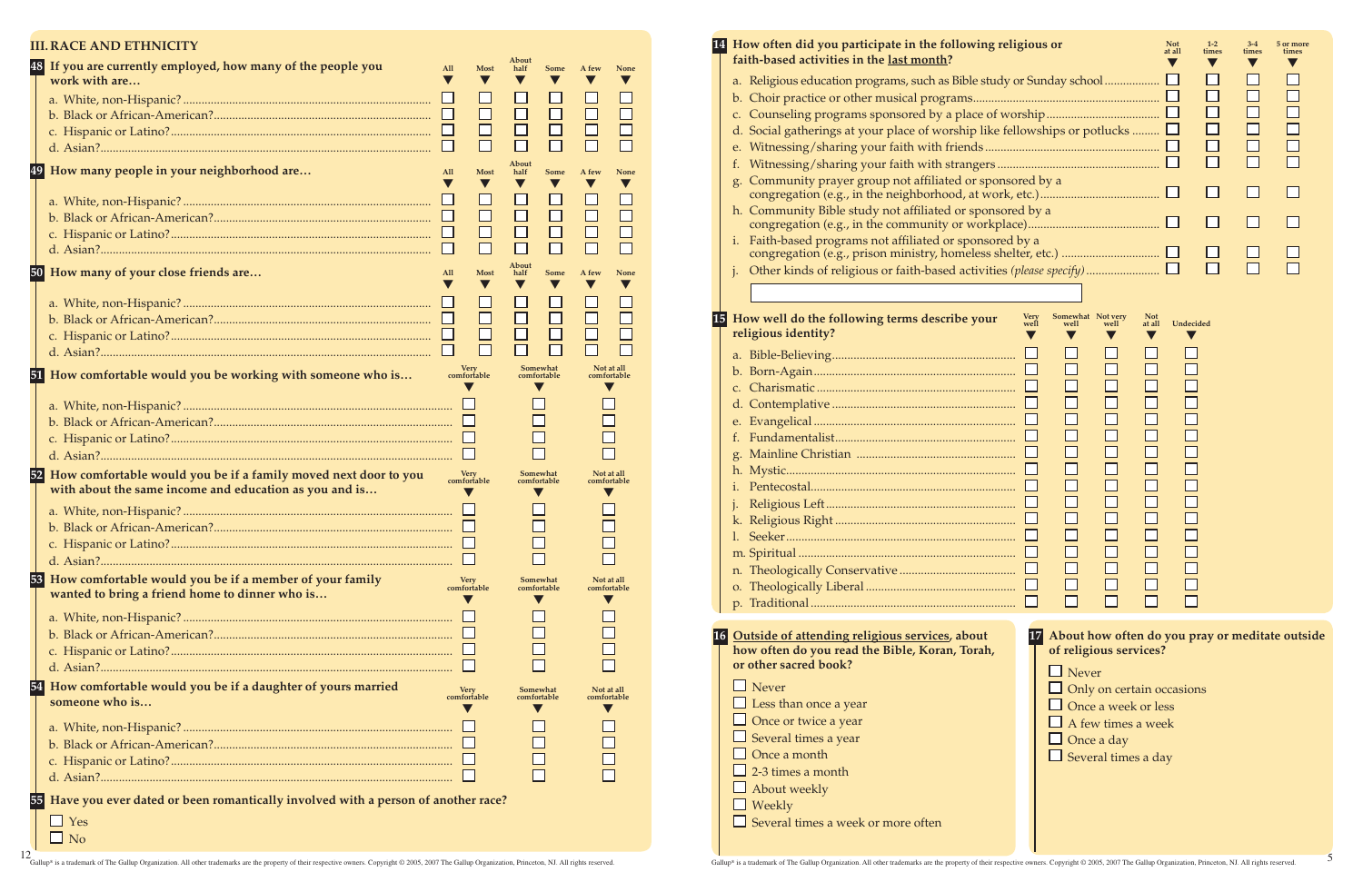### **III. race and ethnicity**

|    | 48 If you are currently employed, how many of the people you<br>work with are                                             | All    | <b>Most</b>                | About<br>half           | Some                    | A few                     | None                      |
|----|---------------------------------------------------------------------------------------------------------------------------|--------|----------------------------|-------------------------|-------------------------|---------------------------|---------------------------|
|    |                                                                                                                           |        |                            |                         |                         |                           |                           |
|    |                                                                                                                           |        |                            |                         |                         |                           |                           |
|    |                                                                                                                           |        |                            |                         |                         |                           |                           |
|    |                                                                                                                           | $\Box$ |                            |                         |                         |                           |                           |
|    | 49 How many people in your neighborhood are                                                                               | All    | Most                       | About<br>half<br>V      | <b>Some</b>             | A few                     | None                      |
|    |                                                                                                                           |        |                            |                         |                         |                           |                           |
|    |                                                                                                                           |        |                            |                         |                         |                           |                           |
|    |                                                                                                                           |        |                            |                         |                         |                           |                           |
|    |                                                                                                                           |        |                            |                         |                         |                           |                           |
|    | 50 How many of your close friends are                                                                                     | All    | Most                       | About<br>half           | <b>Some</b>             | A few                     | None                      |
|    |                                                                                                                           |        |                            |                         |                         |                           |                           |
|    |                                                                                                                           |        |                            |                         |                         |                           |                           |
|    |                                                                                                                           |        |                            |                         |                         |                           |                           |
|    |                                                                                                                           |        |                            |                         |                         |                           |                           |
|    | 51 How comfortable would you be working with someone who is                                                               |        | Very<br>comfortable        |                         | Somewhat<br>comfortable |                           | Not at all<br>comfortable |
|    |                                                                                                                           |        |                            |                         |                         |                           |                           |
|    |                                                                                                                           |        |                            |                         |                         |                           |                           |
|    |                                                                                                                           |        |                            |                         |                         |                           |                           |
|    |                                                                                                                           |        |                            |                         |                         |                           |                           |
|    |                                                                                                                           |        |                            |                         |                         |                           |                           |
| 52 | How comfortable would you be if a family moved next door to you<br>with about the same income and education as you and is |        | <b>Very</b><br>comfortable |                         | Somewhat<br>comfortable |                           | Not at all<br>comfortable |
|    |                                                                                                                           |        |                            |                         |                         |                           |                           |
|    |                                                                                                                           |        |                            |                         |                         |                           |                           |
|    |                                                                                                                           |        |                            |                         |                         |                           |                           |
|    |                                                                                                                           |        |                            |                         |                         |                           |                           |
|    | 53 How comfortable would you be if a member of your family<br>wanted to bring a friend home to dinner who is              |        | <b>Very</b><br>comfortable |                         | Somewhat<br>comfortable | Not at all                | comfortable               |
|    |                                                                                                                           |        |                            |                         |                         |                           |                           |
|    |                                                                                                                           |        |                            |                         |                         |                           |                           |
|    |                                                                                                                           |        |                            |                         |                         |                           |                           |
|    |                                                                                                                           |        |                            |                         |                         |                           |                           |
|    |                                                                                                                           |        |                            |                         |                         |                           |                           |
| 54 | How comfortable would you be if a daughter of yours married<br>someone who is                                             |        | <b>Very</b><br>comfortable | Somewhat<br>comfortable |                         | Not at all<br>comfortable |                           |
|    |                                                                                                                           |        |                            |                         |                         |                           |                           |
|    |                                                                                                                           |        |                            |                         |                         |                           |                           |
|    |                                                                                                                           |        |                            |                         |                         |                           |                           |
|    |                                                                                                                           |        |                            |                         |                         |                           |                           |
| 55 | Have you ever dated or been romantically involved with a person of another race?                                          |        |                            |                         |                         |                           |                           |
|    | $\Box$ Yes                                                                                                                |        |                            |                         |                         |                           |                           |
|    | $\Box$ No                                                                                                                 |        |                            |                         |                         |                           |                           |

# $\Box$  About weekly

- **faith-based activities in the last month?** a. Religious education programs, such as Bible stud
- b. Choir practice or other musical programs..........
- c. Counseling programs sponsored by a place of
- d. Social gatherings at your place of worship like
- e. Witnessing/sharing your faith with friends ......
- f. Witnessing/sharing your faith with strangers ...
- g. Community prayer group not affiliated or spon congregation (e.g., in the neighborhood, at work
- h. Community Bible study not affiliated or sponsor congregation (e.g., in the community or workpl
- i. Faith-based programs not affiliated or sponsore congregation (e.g., prison ministry, homeless sh
- Other kinds of religious or faith-based activities

| a.                                                |
|---------------------------------------------------|
|                                                   |
|                                                   |
|                                                   |
|                                                   |
| $f_{\perp}$                                       |
| g.                                                |
|                                                   |
| i.                                                |
| j.                                                |
|                                                   |
| 1.                                                |
|                                                   |
|                                                   |
| O.                                                |
|                                                   |
|                                                   |
| 16 Outside of attending religious services, about |
| how often do you read the Bible, Koran, Torah,    |
| or other sacred book?                             |
| $\Box$ Never                                      |
| $\Box$ Less than once a year                      |

| 14 How often did you participate in the following religious or<br>faith-based activities in the last month? | <b>Not</b><br>at all | $1 - 2$<br>times | $3-4$<br>times | 5 or more<br>times |
|-------------------------------------------------------------------------------------------------------------|----------------------|------------------|----------------|--------------------|
| a. Religious education programs, such as Bible study or Sunday school                                       |                      |                  |                |                    |
|                                                                                                             |                      |                  |                |                    |
|                                                                                                             |                      |                  |                |                    |
| d. Social gatherings at your place of worship like fellowships or potlucks                                  |                      |                  |                |                    |
|                                                                                                             |                      |                  |                |                    |
|                                                                                                             |                      |                  |                |                    |
| g. Community prayer group not affiliated or sponsored by a                                                  |                      |                  |                |                    |
| h. Community Bible study not affiliated or sponsored by a                                                   |                      |                  |                |                    |
| Faith-based programs not affiliated or sponsored by a                                                       |                      |                  |                |                    |
|                                                                                                             |                      |                  |                |                    |
|                                                                                                             |                      |                  |                |                    |

# **15 How well do the following terms describe your religious identity?**



| $\Box$ Weekly           |
|-------------------------|
| $\Box$ Corrected times: |

 $\Box$  Several times a week or more often

Once or twice a year  $\Box$  Several times a year  $\Box$  Once a month  $\Box$  2-3 times a month

**17 About how often do you pray or meditate outside of religious services?**

- **Never**
- $\Box$  Only on certain occasions
- $\Box$  Once a week or less
- $\Box$  A few times a week
- $\Box$  Once a day
- $\Box$  Several times a day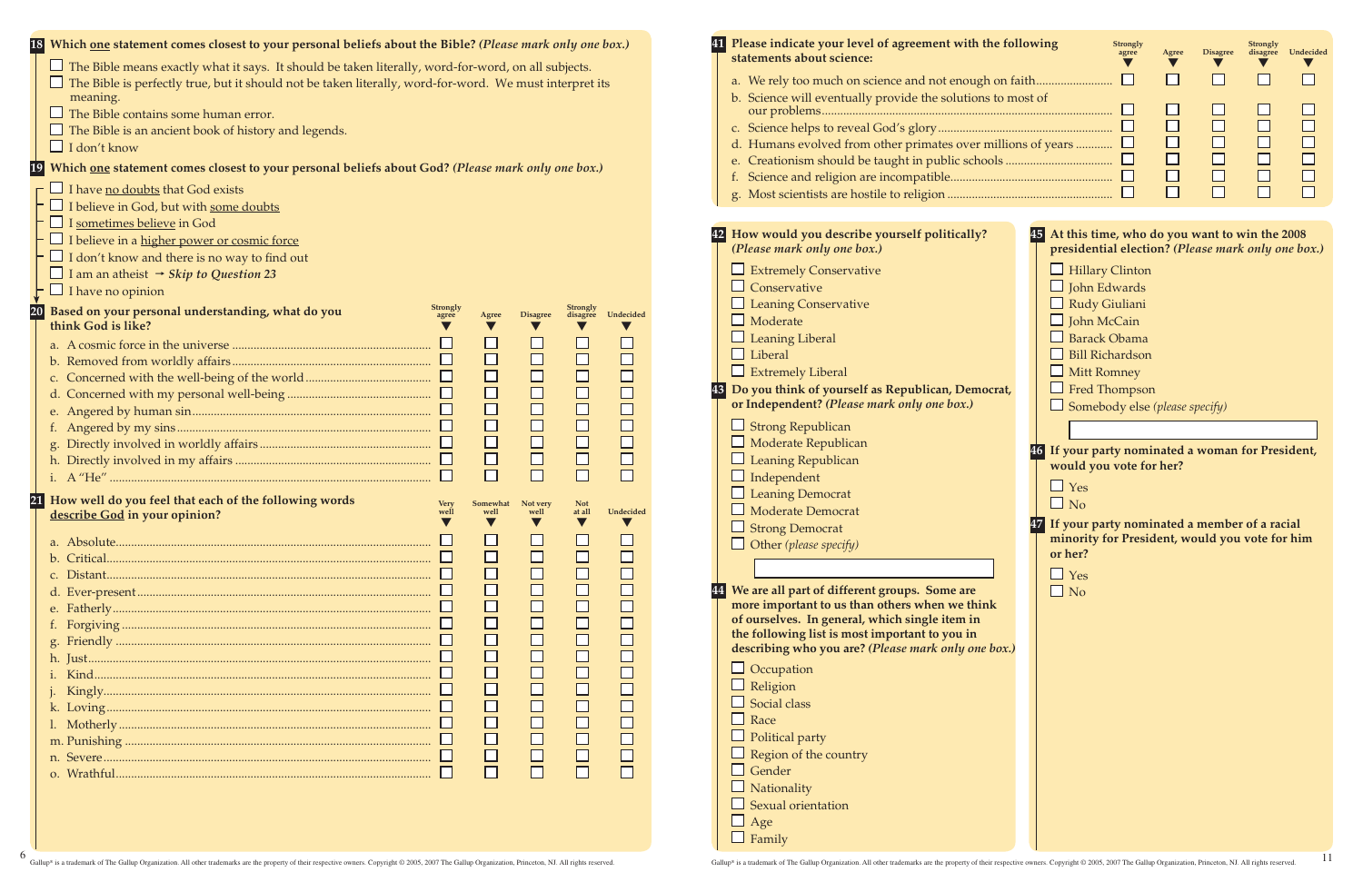| 18 Which one statement comes closest to your personal beliefs about the Bible? (Please mark only one box.)<br>$\Box$ The Bible means exactly what it says. It should be taken literally, word-for-word, on all subjects.<br>$\Box$ The Bible is perfectly true, but it should not be taken literally, word-for-word. We must interpret its<br>meaning.<br>$\Box$ The Bible contains some human error.<br>$\Box$ The Bible is an ancient book of history and legends.<br>$\Box$ I don't know<br>Which one statement comes closest to your personal beliefs about God? (Please mark only one box.)<br>$\Gamma$ I have no doubts that God exists<br>$\Box$ I believe in God, but with some doubts                                                                                                                                                                                                                                                                                                                               | 41 Please indicate your level of agreement with the following<br>statements about science:<br>a. We rely too much on science and not enough on faith<br>b. Science will eventually provide the solutions to most of<br>d. Humans evolved from other primates over millions of years $\Box$                                                                                                                                                                                                                                                                                                                                                                                                                                                                                                                                                                                                                                                                                                                                                                                                                         | <b>Strongly</b><br>Strongly<br>Undecided<br><b>Disagree</b><br>disagree<br>agree<br>Agree<br>$\sqcup$<br>$\Box$<br>$\Box$<br>$\Box$<br>$\Box$<br>$\Box$<br>$\Box$<br>$\Box$<br>$\Box$<br>$\Box$                                                                                                                                                                                                                                                                                                                                                                                                     |
|------------------------------------------------------------------------------------------------------------------------------------------------------------------------------------------------------------------------------------------------------------------------------------------------------------------------------------------------------------------------------------------------------------------------------------------------------------------------------------------------------------------------------------------------------------------------------------------------------------------------------------------------------------------------------------------------------------------------------------------------------------------------------------------------------------------------------------------------------------------------------------------------------------------------------------------------------------------------------------------------------------------------------|--------------------------------------------------------------------------------------------------------------------------------------------------------------------------------------------------------------------------------------------------------------------------------------------------------------------------------------------------------------------------------------------------------------------------------------------------------------------------------------------------------------------------------------------------------------------------------------------------------------------------------------------------------------------------------------------------------------------------------------------------------------------------------------------------------------------------------------------------------------------------------------------------------------------------------------------------------------------------------------------------------------------------------------------------------------------------------------------------------------------|-----------------------------------------------------------------------------------------------------------------------------------------------------------------------------------------------------------------------------------------------------------------------------------------------------------------------------------------------------------------------------------------------------------------------------------------------------------------------------------------------------------------------------------------------------------------------------------------------------|
| $\Box$ I <u>sometimes believe</u> in God<br>$\Box$ I believe in a <u>higher power or cosmic force</u><br>$\Box$ I don't know and there is no way to find out<br>□ I am an atheist $\rightarrow$ <i>Skip to Question 23</i><br>$\cdot$ $\Box$ I have no opinion<br>Strongly<br>Based on your personal understanding, what do you<br>Undecided<br>disagree<br><b>Disagree</b><br>Agree<br>think God is like?<br>$\Box$<br>$\Box$<br>$\Box$<br>$\Box$<br>$\Box$<br>$\Box$<br>$\Box$<br>$\Box$<br>$\Box$<br>$\Box$<br>$\Box$<br>$\Box$<br>$\Box$<br>$\Box$<br>How well do you feel that each of the following words<br><b>Very</b><br>Somewhat<br>Not very<br><b>Not</b><br>Undecided<br>at all<br>well<br>well<br>well<br>describe God in your opinion?<br>$\Box$<br>$\overline{\Box}$<br>$\Box$<br>$\Box$<br>$\Box$<br>$\Box$<br>$\Box$<br>$\Box$<br>$\Box$<br>$\Box$<br>$\Box$<br>$\Box$<br>$\Box$<br>$\begin{array}{c} \square \\ \square \end{array}$<br>$\Box$<br>$\Box$<br>$\Box$<br>$\Box$<br>$\Box$<br>$\Box$<br>$\Box$ | 42 How would you describe yourself politically?<br>(Please mark only one box.)<br>$\Box$ Extremely Conservative<br>$\Box$ Conservative<br>$\Box$ Leaning Conservative<br>$\Box$ Moderate<br>$\Box$ Leaning Liberal<br>$\Box$ Liberal<br>$\Box$ Extremely Liberal<br>43 Do you think of yourself as Republican, Democrat,<br>or Independent? (Please mark only one box.)<br>$\Box$ Strong Republican<br>$\Box$ Moderate Republican<br>$\Box$ Leaning Republican<br>$\Box$ Independent<br>$\Box$ Leaning Democrat<br>$\Box$ Moderate Democrat<br>$\Box$ Strong Democrat<br>$\Box$ Other (please specify)<br>44 We are all part of different groups. Some are<br>more important to us than others when we think<br>of ourselves. In general, which single item in<br>the following list is most important to you in<br>describing who you are? (Please mark only one box.)<br>$\Box$ Occupation<br>$\Box$ Religion<br>$\Box$ Social class<br>$\Box$ Race<br>$\Box$ Political party<br>$\Box$ Region of the country<br>$\Box$ Gender<br>$\Box$ Nationality<br>$\Box$ Sexual orientation<br>$\Box$ Age<br>$\Box$ Family | 45 At this time, who do you want to win the 2008<br>presidential election? (Please mark only one box.)<br>$\Box$ Hillary Clinton<br>$\Box$ John Edwards<br>$\Box$ Rudy Giuliani<br>$\Box$ John McCain<br>$\Box$ Barack Obama<br>$\Box$ Bill Richardson<br>$\Box$ Mitt Romney<br>$\Box$ Fred Thompson<br>$\Box$ Somebody else (please specify)<br>46 If your party nominated a woman for President,<br>would you vote for her?<br>$\Box$ Yes<br>$\Box$ No<br>47 If your party nominated a member of a racial<br>minority for President, would you vote for him<br>or her?<br>$\Box$ Yes<br>$\Box$ No |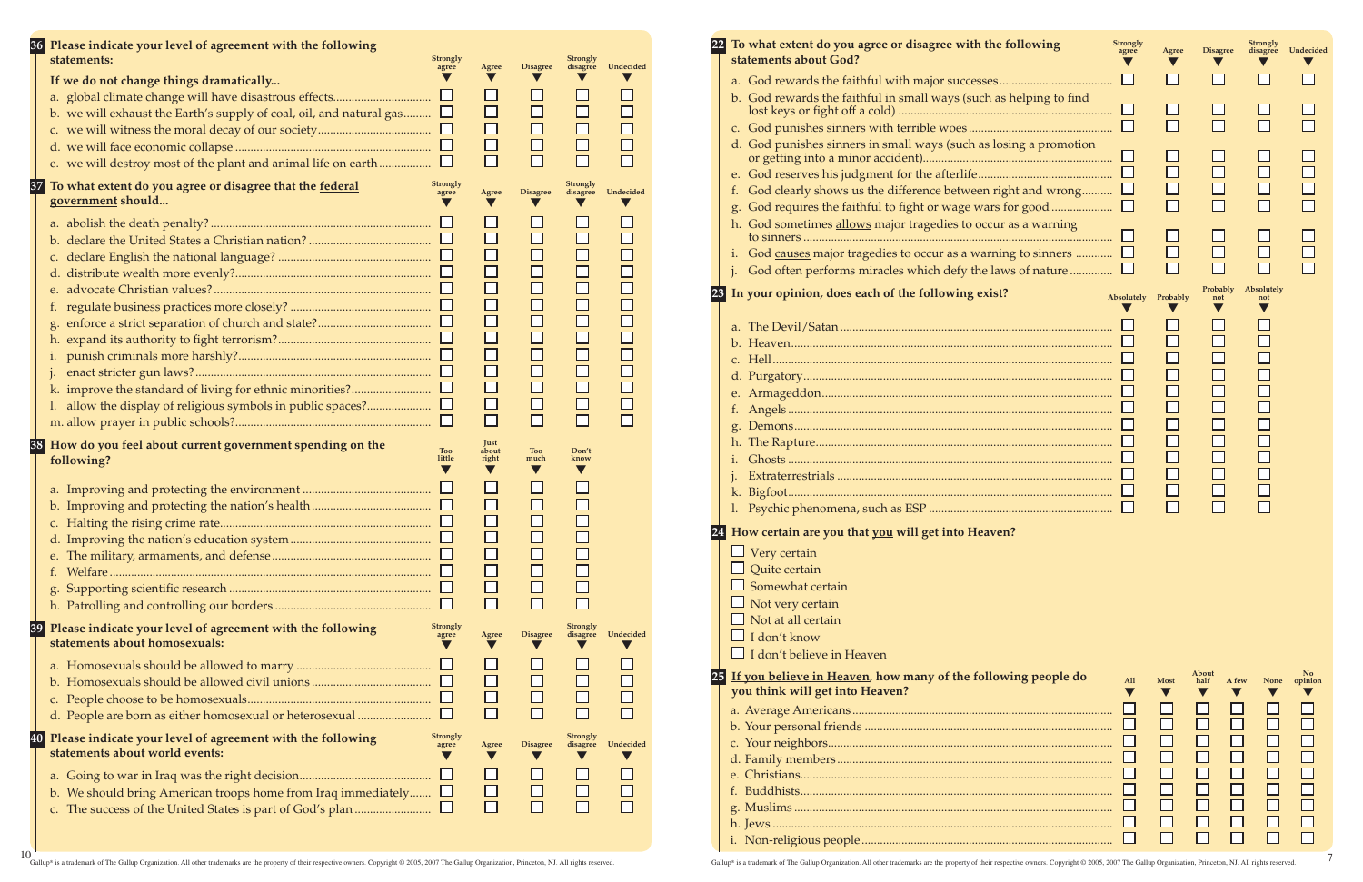| Gallup® is a trademark of The Gallup Organization. All other trademarks are the property of their respective owners. Copyright © 2005, 2007 The Gallup Organization, Princeton, NJ. All rights reserved. |
|----------------------------------------------------------------------------------------------------------------------------------------------------------------------------------------------------------|

| 22 I | To what extent do you agree or disagree with the following<br>statements about God?                                           | <b>Strongly</b><br>agree | Agree    | <b>Disagree</b> | <b>Strongly</b><br>disagree | Undecided |
|------|-------------------------------------------------------------------------------------------------------------------------------|--------------------------|----------|-----------------|-----------------------------|-----------|
|      |                                                                                                                               |                          |          |                 |                             |           |
|      | b. God rewards the faithful in small ways (such as helping to find                                                            |                          |          |                 |                             |           |
|      |                                                                                                                               |                          |          |                 |                             |           |
|      | d. God punishes sinners in small ways (such as losing a promotion                                                             |                          |          |                 |                             |           |
|      |                                                                                                                               |                          |          |                 |                             |           |
|      | God clearly shows us the difference between right and wrong<br>f.<br>God requires the faithful to fight or wage wars for good |                          | П        | $\Box$          |                             |           |
|      | h. God sometimes allows major tragedies to occur as a warning                                                                 |                          |          |                 |                             |           |
|      | God causes major tragedies to occur as a warning to sinners $\Box$<br>i.                                                      |                          |          |                 |                             |           |
|      | God often performs miracles which defy the laws of nature<br>$\mathbf{i}$ .                                                   |                          |          |                 |                             |           |
|      |                                                                                                                               |                          |          |                 |                             |           |
| 23   | In your opinion, does each of the following exist?                                                                            | Absolutely               | Probably | Probably<br>not | Absolutely<br>not           |           |
|      |                                                                                                                               |                          |          |                 |                             |           |
|      |                                                                                                                               |                          |          |                 |                             |           |
|      |                                                                                                                               |                          |          |                 |                             |           |
|      |                                                                                                                               |                          |          |                 |                             |           |
|      |                                                                                                                               |                          |          |                 |                             |           |
|      | t.                                                                                                                            |                          |          |                 |                             |           |
|      | g.                                                                                                                            |                          |          |                 |                             |           |
|      | h.                                                                                                                            |                          |          |                 |                             |           |
|      |                                                                                                                               |                          |          |                 |                             |           |
|      |                                                                                                                               |                          |          |                 |                             |           |
|      | k.                                                                                                                            |                          |          |                 |                             |           |

|    | 36 Please indicate your level of agreement with the following<br>statements:<br><b>Strongly</b><br>agree                                                                                    | Agree                                                                                     | <b>Disagree</b>                                           | <b>Strongly</b><br>disagree                                                   | Undecided                                                                         |
|----|---------------------------------------------------------------------------------------------------------------------------------------------------------------------------------------------|-------------------------------------------------------------------------------------------|-----------------------------------------------------------|-------------------------------------------------------------------------------|-----------------------------------------------------------------------------------|
|    | If we do not change things dramatically<br>⊔<br>b. we will exhaust the Earth's supply of coal, oil, and natural gas $\Box$<br>e. we will destroy most of the plant and animal life on earth | □                                                                                         | $\Box$<br>$\Box$                                          |                                                                               |                                                                                   |
| 37 | Strongly<br>To what extent do you agree or disagree that the federal<br>agree<br>government should<br>⊔                                                                                     | Agree<br>$\Box$<br>$\Box$<br>$\overline{\square}$<br>$\Box$<br>$\Box$<br>$\Box$<br>$\Box$ | <b>Disagree</b><br>88<br>80<br>$\Box$<br>$\Box$<br>$\Box$ | <b>Strongly</b><br>disagree<br>$\Box$<br>$\Box$<br>$\Box$<br>$\Box$<br>$\Box$ | Undecided<br>$\Box$<br>$\overline{\Box}$<br>$\overline{\Box}$<br>$\Box$<br>$\Box$ |
| 38 | How do you feel about current government spending on the<br><b>Too</b><br>following?<br>little                                                                                              | $\Box$<br>$\Box$<br>Just<br>about<br>right<br>$\blacktriangledown$                        | $\Box$<br>$\Box$<br><b>Too</b><br>much                    | $\Box$<br>$\Box$<br>$\Box$<br>Don't<br>know                                   | $\Box$<br>Ō                                                                       |
|    |                                                                                                                                                                                             |                                                                                           |                                                           |                                                                               |                                                                                   |
| 39 | <b>Strongly</b><br>Please indicate your level of agreement with the following<br>agree<br>statements about homosexuals:                                                                     | Agree                                                                                     | <b>Disagree</b>                                           | <b>Strongly</b><br>disagree                                                   | Undecided                                                                         |
| 40 | Strongly<br>Please indicate your level of agreement with the following<br>agree<br>statements about world events:<br>b. We should bring American troops home from Iraq immediately $\Box$   | Agree                                                                                     | <b>Disagree</b>                                           | <b>Strongly</b><br>disagree                                                   | Undecided                                                                         |

|    | d. God punishes sinners in small ways (such as losing a promotion         |
|----|---------------------------------------------------------------------------|
|    |                                                                           |
|    |                                                                           |
| f. | God clearly shows us the difference between right and wrong               |
|    | g. God requires the faithful to fight or wage wars for good               |
|    | h. God sometimes allows major tragedies to occur as a warning             |
|    |                                                                           |
| i. | God causes major tragedies to occur as a warning to sinners               |
| j. | God often performs miracles which defy the laws of nature                 |
|    |                                                                           |
|    | 23 In your opinion, does each of the following exist?<br>$\boldsymbol{A}$ |
|    |                                                                           |
|    |                                                                           |
|    |                                                                           |
|    |                                                                           |
|    |                                                                           |
|    |                                                                           |
| f. |                                                                           |
| g. |                                                                           |
| h. |                                                                           |
| i. |                                                                           |
| j. |                                                                           |
|    |                                                                           |
| 1. |                                                                           |
|    |                                                                           |
|    | 24 How certain are you that you will get into Heaven?                     |
|    | $\Box$ Very certain                                                       |
|    | $\Box$ Quite certain                                                      |
|    | Somewhat certain                                                          |
|    | $\Box$ Not very certain                                                   |
|    | $\Box$ Not at all certain                                                 |
|    | $\Box$ I don't know                                                       |
|    | I don't believe in Heaven                                                 |
|    |                                                                           |
|    | 25 If you believe in Heaven, how many of the following people do          |
|    | you think will get into Heaven?                                           |
|    |                                                                           |
|    |                                                                           |
|    |                                                                           |
|    |                                                                           |
|    |                                                                           |
|    |                                                                           |
|    |                                                                           |
|    |                                                                           |
|    |                                                                           |